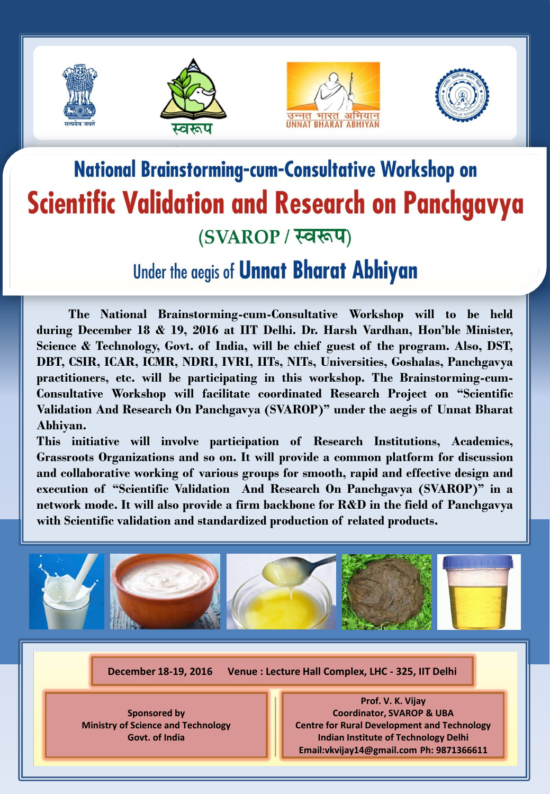







## **National Brainstorming-cum-Consultative Workshop on Scientific Validation and Research on Panchgavya** (SVAROP / स्वरूप)

## Under the aegis of **Unnat Bharat Abhiyan**

 **The National Brainstorming-cum-Consultative Workshop will to be held during December 18 & 19, 2016 at IIT Delhi. Dr. Harsh Vardhan, Hon'ble Minister, Science & Technology, Govt. of India, will be chief guest of the program. Also, DST, DBT, CSIR, ICAR, ICMR, NDRI, IVRI, IITs, NITs, Universities, Goshalas, Panchgavya practitioners, etc. will be participating in this workshop. The Brainstorming-cum-Consultative Workshop will facilitate coordinated Research Project on "Scientific Validation And Research On Panchgavya (SVAROP)" under the aegis of Unnat Bharat Abhiyan.**

**This initiative will involve participation of Research Institutions, Academics, Grassroots Organizations and so on. It will provide a common platform for discussion and collaborative working of various groups for smooth, rapid and effective design and execution of "Scientific Validation And Research On Panchgavya (SVAROP)" in a network mode. It will also provide a firm backbone for R&D in the field of Panchgavya with Scientific validation and standardized production of related products.**



**December 18-19, 2016 Venue : Lecture Hall Complex, LHC - 325, IIT Delhi**

**Sponsored by Ministry of Science and Technology Govt. of India**

**Prof. V. K. Vijay Coordinator, SVAROP & UBA Centre for Rural Development and Technology Indian Institute of Technology Delhi Email:vkvijay14@gmail.com Ph: 9871366611**